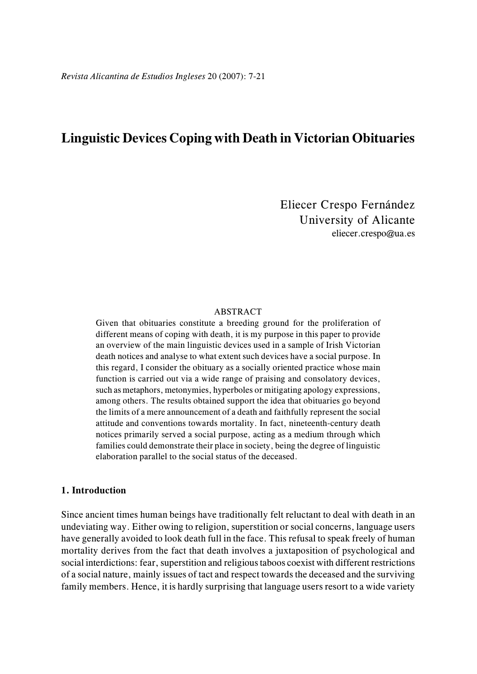# **Linguistic Devices Coping with Death in Victorian Obituaries**

Eliecer Crespo Fernández University of Alicante eliecer.crespo@ua.es

#### ABSTRACT

Given that obituaries constitute a breeding ground for the proliferation of different means of coping with death, it is my purpose in this paper to provide an overview of the main linguistic devices used in a sample of Irish Victorian death notices and analyse to what extent such devices have a social purpose. In this regard, I consider the obituary as a socially oriented practice whose main function is carried out via a wide range of praising and consolatory devices, such as metaphors, metonymies, hyperboles or mitigating apology expressions, among others. The results obtained support the idea that obituaries go beyond the limits of a mere announcement of a death and faithfully represent the social attitude and conventions towards mortality. In fact, nineteenth-century death notices primarily served a social purpose, acting as a medium through which families could demonstrate their place in society, being the degree of linguistic elaboration parallel to the social status of the deceased.

#### **1. Introduction**

Since ancient times human beings have traditionally felt reluctant to deal with death in an undeviating way. Either owing to religion, superstition or social concerns, language users have generally avoided to look death full in the face. This refusal to speak freely of human mortality derives from the fact that death involves a juxtaposition of psychological and social interdictions: fear, superstition and religious taboos coexist with different restrictions of a social nature, mainly issues of tact and respect towards the deceased and the surviving family members. Hence, it is hardly surprising that language users resort to a wide variety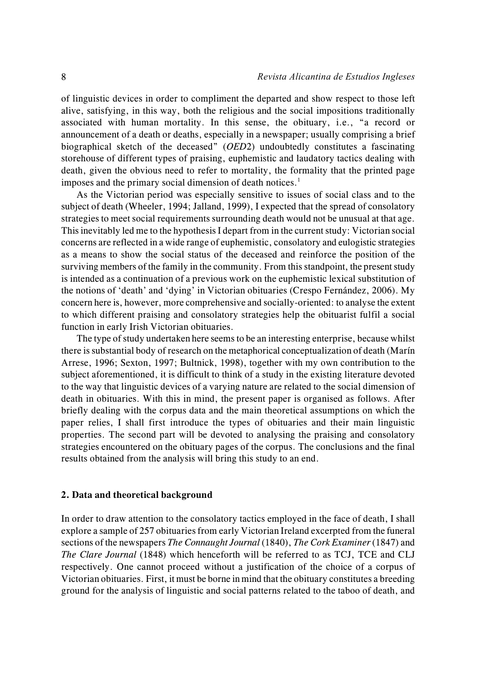of linguistic devices in order to compliment the departed and show respect to those left alive, satisfying, in this way, both the religious and the social impositions traditionally associated with human mortality. In this sense, the obituary, i.e., "a record or announcement of a death or deaths, especially in a newspaper; usually comprising a brief biographical sketch of the deceased" (*OED*2) undoubtedly constitutes a fascinating storehouse of different types of praising, euphemistic and laudatory tactics dealing with death, given the obvious need to refer to mortality, the formality that the printed page imposes and the primary social dimension of death notices.<sup>1</sup>

As the Victorian period was especially sensitive to issues of social class and to the subject of death (Wheeler, 1994; Jalland, 1999), I expected that the spread of consolatory strategies to meet social requirements surrounding death would not be unusual at that age. This inevitably led me to the hypothesis I depart from in the current study: Victorian social concerns are reflected in a wide range of euphemistic, consolatory and eulogistic strategies as a means to show the social status of the deceased and reinforce the position of the surviving members of the family in the community. From this standpoint, the present study is intended as a continuation of a previous work on the euphemistic lexical substitution of the notions of 'death' and 'dying' in Victorian obituaries (Crespo Fernández, 2006). My concern here is, however, more comprehensive and socially-oriented: to analyse the extent to which different praising and consolatory strategies help the obituarist fulfil a social function in early Irish Victorian obituaries.

The type of study undertaken here seems to be an interesting enterprise, because whilst there is substantial body of research on the metaphorical conceptualization of death (Marín Arrese, 1996; Sexton, 1997; Bultnick, 1998), together with my own contribution to the subject aforementioned, it is difficult to think of a study in the existing literature devoted to the way that linguistic devices of a varying nature are related to the social dimension of death in obituaries. With this in mind, the present paper is organised as follows. After briefly dealing with the corpus data and the main theoretical assumptions on which the paper relies, I shall first introduce the types of obituaries and their main linguistic properties. The second part will be devoted to analysing the praising and consolatory strategies encountered on the obituary pages of the corpus. The conclusions and the final results obtained from the analysis will bring this study to an end.

#### **2. Data and theoretical background**

In order to draw attention to the consolatory tactics employed in the face of death, I shall explore a sample of 257 obituaries from early Victorian Ireland excerpted from the funeral sections of the newspapers *The Connaught Journal* (1840), *The Cork Examiner* (1847) and *The Clare Journal* (1848) which henceforth will be referred to as TCJ, TCE and CLJ respectively. One cannot proceed without a justification of the choice of a corpus of Victorian obituaries. First, it must be borne in mind that the obituary constitutes a breeding ground for the analysis of linguistic and social patterns related to the taboo of death, and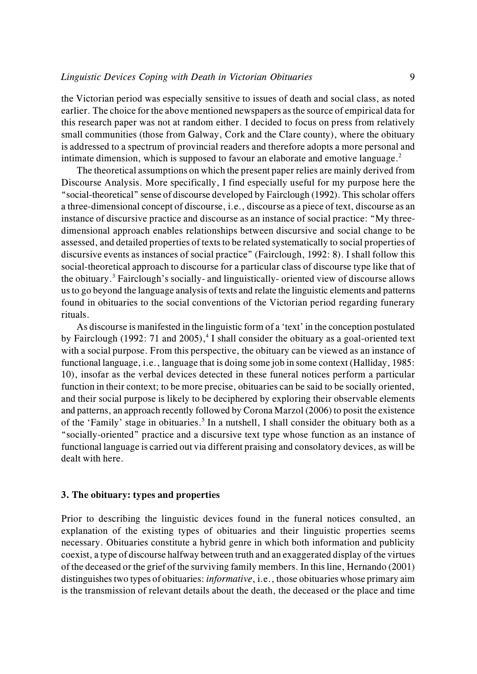the Victorian period was especially sensitive to issues of death and social class, as noted earlier. The choice for the above mentioned newspapers as the source of empirical data for this research paper was not at random either. I decided to focus on press from relatively small communities (those from Galway, Cork and the Clare county), where the obituary is addressed to a spectrum of provincial readers and therefore adopts a more personal and intimate dimension, which is supposed to favour an elaborate and emotive language.<sup>2</sup>

The theoretical assumptions on which the present paper relies are mainly derived from Discourse Analysis. More specifically, I find especially useful for my purpose here the "social-theoretical" sense of discourse developed by Fairclough (1992). This scholar offers a three-dimensional concept of discourse, i.e., discourse as a piece of text, discourse as an instance of discursive practice and discourse as an instance of social practice: "My threedimensional approach enables relationships between discursive and social change to be assessed, and detailed properties of texts to be related systematically to social properties of discursive events as instances of social practice" (Fairclough, 1992: 8). I shall follow this social-theoretical approach to discourse for a particular class of discourse type like that of the obituary.<sup>3</sup> Fairclough's socially- and linguistically- oriented view of discourse allows us to go beyond the language analysis of texts and relate the linguistic elements and patterns found in obituaries to the social conventions of the Victorian period regarding funerary rituals.

As discourse is manifested in the linguistic form of a 'text' in the conception postulated by Fairclough (1992: 71 and 2005),<sup>4</sup> I shall consider the obituary as a goal-oriented text with a social purpose. From this perspective, the obituary can be viewed as an instance of functional language, i.e., language that is doing some job in some context (Halliday, 1985: 10), insofar as the verbal devices detected in these funeral notices perform a particular function in their context; to be more precise, obituaries can be said to be socially oriented, and their social purpose is likely to be deciphered by exploring their observable elements and patterns, an approach recently followed by Corona Marzol (2006) to posit the existence of the 'Family' stage in obituaries.<sup>5</sup> In a nutshell, I shall consider the obituary both as a "socially-oriented" practice and a discursive text type whose function as an instance of functional language is carried out via different praising and consolatory devices, as will be dealt with here.

#### **3. The obituary: types and properties**

Prior to describing the linguistic devices found in the funeral notices consulted, an explanation of the existing types of obituaries and their linguistic properties seems necessary. Obituaries constitute a hybrid genre in which both information and publicity coexist, a type of discourse halfway between truth and an exaggerated display of the virtues of the deceased or the grief of the surviving family members. In this line, Hernando (2001) distinguishes two types of obituaries: *informative*, i.e., those obituaries whose primary aim is the transmission of relevant details about the death, the deceased or the place and time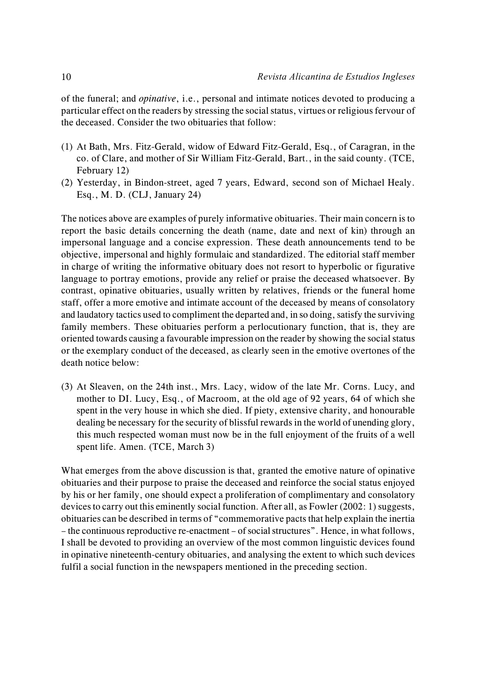of the funeral; and *opinative*, i.e., personal and intimate notices devoted to producing a particular effect on the readers by stressing the social status, virtues or religious fervour of the deceased. Consider the two obituaries that follow:

- (1) At Bath, Mrs. Fitz-Gerald, widow of Edward Fitz-Gerald, Esq., of Caragran, in the co. of Clare, and mother of Sir William Fitz-Gerald, Bart., in the said county. (TCE, February 12)
- (2) Yesterday, in Bindon-street, aged 7 years, Edward, second son of Michael Healy. Esq., M. D. (CLJ, January 24)

The notices above are examples of purely informative obituaries. Their main concern is to report the basic details concerning the death (name, date and next of kin) through an impersonal language and a concise expression. These death announcements tend to be objective, impersonal and highly formulaic and standardized. The editorial staff member in charge of writing the informative obituary does not resort to hyperbolic or figurative language to portray emotions, provide any relief or praise the deceased whatsoever. By contrast, opinative obituaries, usually written by relatives, friends or the funeral home staff, offer a more emotive and intimate account of the deceased by means of consolatory and laudatory tactics used to compliment the departed and, in so doing, satisfy the surviving family members. These obituaries perform a perlocutionary function, that is, they are oriented towards causing a favourable impression on the reader by showing the social status or the exemplary conduct of the deceased, as clearly seen in the emotive overtones of the death notice below:

(3) At Sleaven, on the 24th inst., Mrs. Lacy, widow of the late Mr. Corns. Lucy, and mother to DI. Lucy, Esq., of Macroom, at the old age of 92 years, 64 of which she spent in the very house in which she died. If piety, extensive charity, and honourable dealing be necessary for the security of blissful rewards in the world of unending glory, this much respected woman must now be in the full enjoyment of the fruits of a well spent life. Amen. (TCE, March 3)

What emerges from the above discussion is that, granted the emotive nature of opinative obituaries and their purpose to praise the deceased and reinforce the social status enjoyed by his or her family, one should expect a proliferation of complimentary and consolatory devices to carry out this eminently social function. After all, as Fowler (2002: 1) suggests, obituaries can be described in terms of "commemorative pacts that help explain the inertia – the continuous reproductive re-enactment – of social structures". Hence, in what follows, I shall be devoted to providing an overview of the most common linguistic devices found in opinative nineteenth-century obituaries, and analysing the extent to which such devices fulfil a social function in the newspapers mentioned in the preceding section.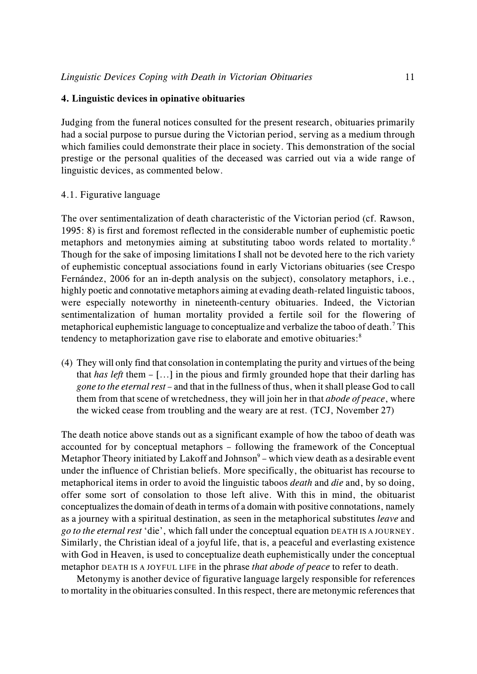## **4. Linguistic devices in opinative obituaries**

Judging from the funeral notices consulted for the present research, obituaries primarily had a social purpose to pursue during the Victorian period, serving as a medium through which families could demonstrate their place in society. This demonstration of the social prestige or the personal qualities of the deceased was carried out via a wide range of linguistic devices, as commented below.

## 4.1. Figurative language

The over sentimentalization of death characteristic of the Victorian period (cf. Rawson, 1995: 8) is first and foremost reflected in the considerable number of euphemistic poetic metaphors and metonymies aiming at substituting taboo words related to mortality.<sup>6</sup> Though for the sake of imposing limitations I shall not be devoted here to the rich variety of euphemistic conceptual associations found in early Victorians obituaries (see Crespo Fernández, 2006 for an in-depth analysis on the subject), consolatory metaphors, i.e., highly poetic and connotative metaphors aiming at evading death-related linguistic taboos, were especially noteworthy in nineteenth-century obituaries. Indeed, the Victorian sentimentalization of human mortality provided a fertile soil for the flowering of metaphorical euphemistic language to conceptualize and verbalize the taboo of death.<sup>7</sup> This tendency to metaphorization gave rise to elaborate and emotive obituaries:<sup>8</sup>

(4) They will only find that consolation in contemplating the purity and virtues of the being that *has left* them – [...] in the pious and firmly grounded hope that their darling has *gone to the eternal rest* – and that in the fullness of thus, when it shall please God to call them from that scene of wretchedness, they will join her in that *abode of peace*, where the wicked cease from troubling and the weary are at rest. (TCJ, November 27)

The death notice above stands out as a significant example of how the taboo of death was accounted for by conceptual metaphors – following the framework of the Conceptual Metaphor Theory initiated by Lakoff and Johnson $9$  – which view death as a desirable event under the influence of Christian beliefs. More specifically, the obituarist has recourse to metaphorical items in order to avoid the linguistic taboos *death* and *die* and, by so doing, offer some sort of consolation to those left alive. With this in mind, the obituarist conceptualizes the domain of death in terms of a domain with positive connotations, namely as a journey with a spiritual destination, as seen in the metaphorical substitutes *leave* and *go to the eternal rest* 'die', which fall under the conceptual equation DEATH IS A JOURNEY. Similarly, the Christian ideal of a joyful life, that is, a peaceful and everlasting existence with God in Heaven, is used to conceptualize death euphemistically under the conceptual metaphor DEATH IS A JOYFUL LIFE in the phrase *that abode of peace* to refer to death.

Metonymy is another device of figurative language largely responsible for references to mortality in the obituaries consulted. In this respect, there are metonymic references that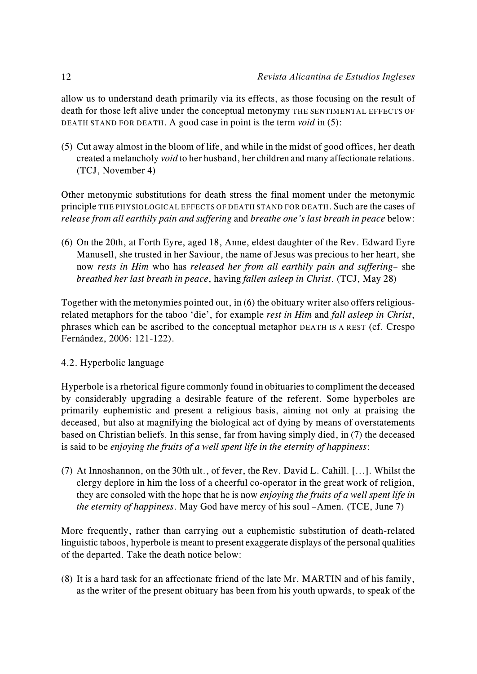allow us to understand death primarily via its effects, as those focusing on the result of death for those left alive under the conceptual metonymy THE SENTIMENTAL EFFECTS OF DEATH STAND FOR DEATH. A good case in point is the term *void* in (5):

(5) Cut away almost in the bloom of life, and while in the midst of good offices, her death created a melancholy *void* to her husband, her children and many affectionate relations. (TCJ, November 4)

Other metonymic substitutions for death stress the final moment under the metonymic principle THE PHYSIOLOGICAL EFFECTS OF DEATH STAND FOR DEATH. Such are the cases of *release from all earthily pain and suffering* and *breathe one's last breath in peace* below:

(6) On the 20th, at Forth Eyre, aged 18, Anne, eldest daughter of the Rev. Edward Eyre Manusell, she trusted in her Saviour, the name of Jesus was precious to her heart, she now *rests in Him* who has *released her from all earthily pain and suffering*– she *breathed her last breath in peace*, having *fallen asleep in Christ*. (TCJ, May 28)

Together with the metonymies pointed out, in (6) the obituary writer also offers religiousrelated metaphors for the taboo 'die', for example *rest in Him* and *fall asleep in Christ*, phrases which can be ascribed to the conceptual metaphor DEATH IS A REST (cf. Crespo Fernández, 2006: 121-122).

# 4.2. Hyperbolic language

Hyperbole is a rhetorical figure commonly found in obituaries to compliment the deceased by considerably upgrading a desirable feature of the referent. Some hyperboles are primarily euphemistic and present a religious basis, aiming not only at praising the deceased, but also at magnifying the biological act of dying by means of overstatements based on Christian beliefs. In this sense, far from having simply died, in (7) the deceased is said to be *enjoying the fruits of a well spent life in the eternity of happiness*:

(7) At Innoshannon, on the 30th ult., of fever, the Rev. David L. Cahill. [...]. Whilst the clergy deplore in him the loss of a cheerful co-operator in the great work of religion, they are consoled with the hope that he is now *enjoying the fruits of a well spent life in the eternity of happiness*. May God have mercy of his soul –Amen. (TCE, June 7)

More frequently, rather than carrying out a euphemistic substitution of death-related linguistic taboos, hyperbole is meant to present exaggerate displays of the personal qualities of the departed. Take the death notice below:

(8) It is a hard task for an affectionate friend of the late Mr. MARTIN and of his family, as the writer of the present obituary has been from his youth upwards, to speak of the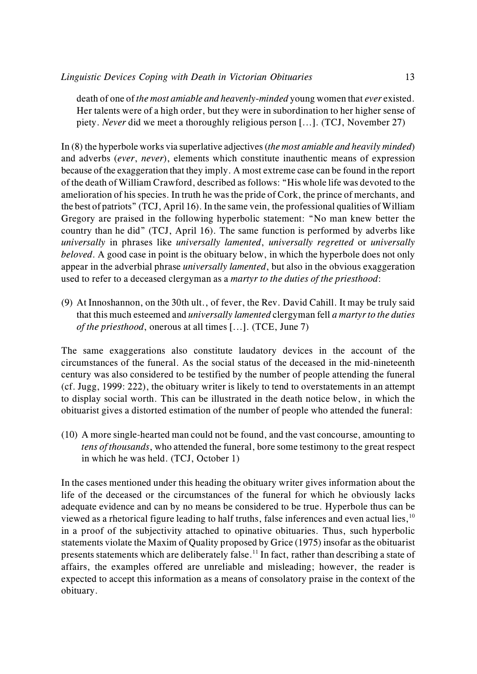death of one of *the most amiable and heavenly-minded* young women that *ever* existed. Her talents were of a high order, but they were in subordination to her higher sense of piety. *Never* did we meet a thoroughly religious person [...]. (TCJ, November 27)

In (8) the hyperbole works via superlative adjectives (*the most amiable and heavily minded*) and adverbs (*ever*, *never*), elements which constitute inauthentic means of expression because of the exaggeration that they imply. A most extreme case can be found in the report of the death of William Crawford, described as follows: "His whole life was devoted to the amelioration of his species. In truth he wasthe pride of Cork, the prince of merchants, and the best of patriots" (TCJ, April 16). In the same vein, the professional qualities of William Gregory are praised in the following hyperbolic statement: "No man knew better the country than he did" (TCJ, April 16). The same function is performed by adverbs like *universally* in phrases like *universally lamented*, *universally regretted* or *universally beloved*. A good case in point is the obituary below, in which the hyperbole does not only appear in the adverbial phrase *universally lamented*, but also in the obvious exaggeration used to refer to a deceased clergyman as a *martyr to the duties of the priesthood*:

(9) At Innoshannon, on the 30th ult., of fever, the Rev. David Cahill. It may be truly said that this much esteemed and *universally lamented* clergyman fell *a martyr to the duties of the priesthood*, onerous at all times [...]. (TCE, June 7)

The same exaggerations also constitute laudatory devices in the account of the circumstances of the funeral. As the social status of the deceased in the mid-nineteenth century was also considered to be testified by the number of people attending the funeral (cf. Jugg, 1999: 222), the obituary writer is likely to tend to overstatements in an attempt to display social worth. This can be illustrated in the death notice below, in which the obituarist gives a distorted estimation of the number of people who attended the funeral:

(10) A more single-hearted man could not be found, and the vast concourse, amounting to *tens of thousands*, who attended the funeral, bore some testimony to the great respect in which he was held. (TCJ, October 1)

In the cases mentioned under this heading the obituary writer gives information about the life of the deceased or the circumstances of the funeral for which he obviously lacks adequate evidence and can by no means be considered to be true. Hyperbole thus can be viewed as a rhetorical figure leading to half truths, false inferences and even actual lies, <sup>10</sup> in a proof of the subjectivity attached to opinative obituaries. Thus, such hyperbolic statements violate the Maxim of Quality proposed by Grice (1975) insofar as the obituarist presents statements which are deliberately false.<sup>11</sup> In fact, rather than describing a state of affairs, the examples offered are unreliable and misleading; however, the reader is expected to accept this information as a means of consolatory praise in the context of the obituary.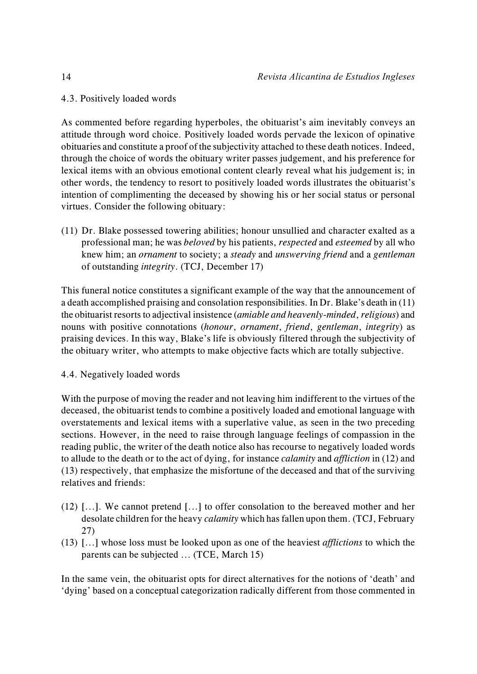4.3. Positively loaded words

As commented before regarding hyperboles, the obituarist's aim inevitably conveys an attitude through word choice. Positively loaded words pervade the lexicon of opinative obituaries and constitute a proof of the subjectivity attached to these death notices. Indeed, through the choice of words the obituary writer passes judgement, and his preference for lexical items with an obvious emotional content clearly reveal what his judgement is; in other words, the tendency to resort to positively loaded words illustrates the obituarist's intention of complimenting the deceased by showing his or her social status or personal virtues. Consider the following obituary:

(11) Dr. Blake possessed towering abilities; honour unsullied and character exalted as a professional man; he was *beloved* by his patients, *respected* and *esteemed* by all who knew him; an *ornament* to society; a *steady* and *unswerving friend* and a *gentleman* of outstanding *integrity*. (TCJ, December 17)

This funeral notice constitutes a significant example of the way that the announcement of a death accomplished praising and consolation responsibilities. In Dr. Blake's death in (11) the obituarist resorts to adjectival insistence (*amiable and heavenly-minded*, *religious*) and nouns with positive connotations (*honour*, *ornament*, *friend*, *gentleman*, *integrity*) as praising devices. In this way, Blake's life is obviously filtered through the subjectivity of the obituary writer, who attempts to make objective facts which are totally subjective.

4.4. Negatively loaded words

With the purpose of moving the reader and not leaving him indifferent to the virtues of the deceased, the obituarist tends to combine a positively loaded and emotional language with overstatements and lexical items with a superlative value, as seen in the two preceding sections. However, in the need to raise through language feelings of compassion in the reading public, the writer of the death notice also has recourse to negatively loaded words to allude to the death or to the act of dying, for instance *calamity* and *affliction* in (12) and (13) respectively, that emphasize the misfortune of the deceased and that of the surviving relatives and friends:

- (12) [...]. We cannot pretend [...] to offer consolation to the bereaved mother and her desolate children for the heavy *calamity* which has fallen upon them. (TCJ, February 27)
- (13) [...] whose loss must be looked upon as one of the heaviest *afflictions* to which the parents can be subjected ... (TCE, March 15)

In the same vein, the obituarist opts for direct alternatives for the notions of 'death' and 'dying' based on a conceptual categorization radically different from those commented in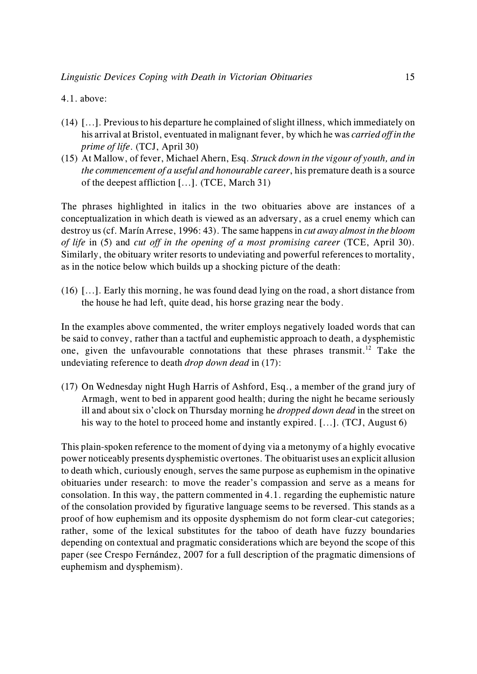## 4.1. above:

- (14) [...]. Previous to his departure he complained of slight illness, which immediately on his arrival at Bristol, eventuated in malignant fever, by which he was *carried off in the prime of life*. (TCJ, April 30)
- (15) At Mallow, of fever, Michael Ahern, Esq. *Struck down in the vigour of youth, and in the commencement of a useful and honourable career*, his premature death is a source of the deepest affliction [...]. (TCE, March 31)

The phrases highlighted in italics in the two obituaries above are instances of a conceptualization in which death is viewed as an adversary, as a cruel enemy which can destroy us (cf. Marín Arrese, 1996: 43). The same happens in *cut away almost in the bloom of life* in (5) and *cut off in the opening of a most promising career* (TCE, April 30). Similarly, the obituary writer resorts to undeviating and powerful references to mortality, as in the notice below which builds up a shocking picture of the death:

(16) [...]. Early this morning, he was found dead lying on the road, a short distance from the house he had left, quite dead, his horse grazing near the body.

In the examples above commented, the writer employs negatively loaded words that can be said to convey, rather than a tactful and euphemistic approach to death, a dysphemistic one, given the unfavourable connotations that these phrases transmit.<sup>12</sup> Take the undeviating reference to death *drop down dead* in (17):

(17) On Wednesday night Hugh Harris of Ashford, Esq., a member of the grand jury of Armagh, went to bed in apparent good health; during the night he became seriously ill and about six o'clock on Thursday morning he *dropped down dead* in the street on his way to the hotel to proceed home and instantly expired. [...]. (TCJ, August 6)

This plain-spoken reference to the moment of dying via a metonymy of a highly evocative power noticeably presents dysphemistic overtones. The obituarist uses an explicit allusion to death which, curiously enough, serves the same purpose as euphemism in the opinative obituaries under research: to move the reader's compassion and serve as a means for consolation. In this way, the pattern commented in 4.1. regarding the euphemistic nature of the consolation provided by figurative language seems to be reversed. This stands as a proof of how euphemism and its opposite dysphemism do not form clear-cut categories; rather, some of the lexical substitutes for the taboo of death have fuzzy boundaries depending on contextual and pragmatic considerations which are beyond the scope of this paper (see Crespo Fernández, 2007 for a full description of the pragmatic dimensions of euphemism and dysphemism).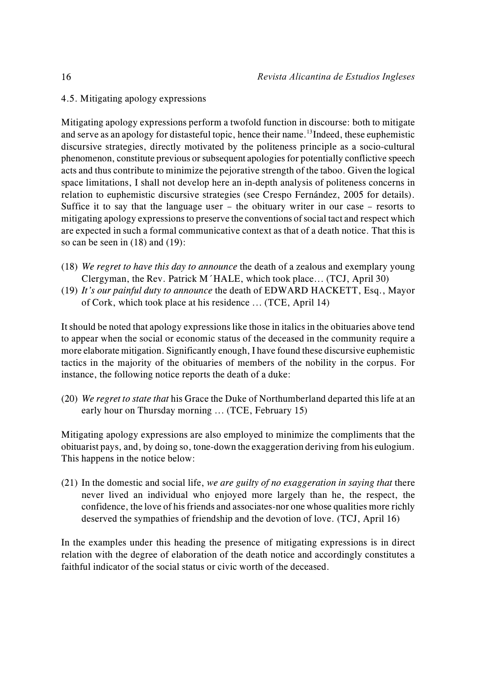# 4.5. Mitigating apology expressions

Mitigating apology expressions perform a twofold function in discourse: both to mitigate and serve as an apology for distasteful topic, hence their name.<sup>13</sup> Indeed, these euphemistic discursive strategies, directly motivated by the politeness principle as a socio-cultural phenomenon, constitute previous or subsequent apologies for potentially conflictive speech acts and thus contribute to minimize the pejorative strength of the taboo. Given the logical space limitations, I shall not develop here an in-depth analysis of politeness concerns in relation to euphemistic discursive strategies (see Crespo Fernández, 2005 for details). Suffice it to say that the language user – the obituary writer in our case – resorts to mitigating apology expressions to preserve the conventions of social tact and respect which are expected in such a formal communicative context as that of a death notice. That this is so can be seen in (18) and (19):

- (18) *We regret to have this day to announce* the death of a zealous and exemplary young Clergyman, the Rev. Patrick M´HALE, which took place... (TCJ, April 30)
- (19) *It's our painful duty to announce* the death of EDWARD HACKETT, Esq., Mayor of Cork, which took place at his residence ... (TCE, April 14)

It should be noted that apology expressions like those in italics in the obituaries above tend to appear when the social or economic status of the deceased in the community require a more elaborate mitigation. Significantly enough, I have found these discursive euphemistic tactics in the majority of the obituaries of members of the nobility in the corpus. For instance, the following notice reports the death of a duke:

(20) *We regret to state that* his Grace the Duke of Northumberland departed this life at an early hour on Thursday morning ... (TCE, February 15)

Mitigating apology expressions are also employed to minimize the compliments that the obituarist pays, and, by doing so, tone-down the exaggeration deriving from his eulogium. This happens in the notice below:

(21) In the domestic and social life, *we are guilty of no exaggeration in saying that* there never lived an individual who enjoyed more largely than he, the respect, the confidence, the love of his friends and associates-nor one whose qualities more richly deserved the sympathies of friendship and the devotion of love. (TCJ, April 16)

In the examples under this heading the presence of mitigating expressions is in direct relation with the degree of elaboration of the death notice and accordingly constitutes a faithful indicator of the social status or civic worth of the deceased.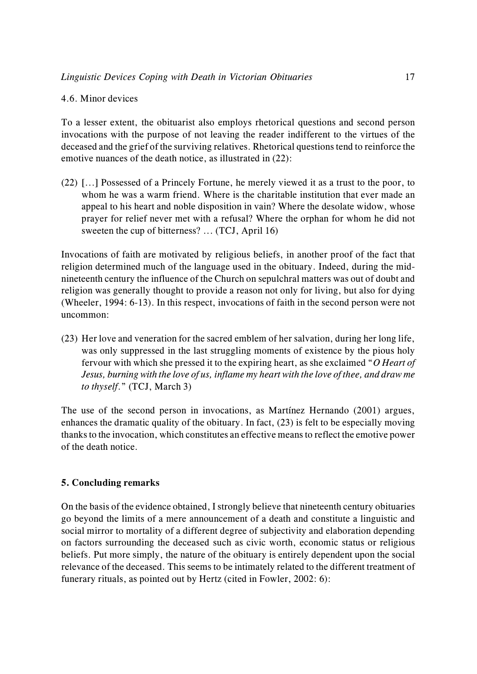## 4.6. Minor devices

To a lesser extent, the obituarist also employs rhetorical questions and second person invocations with the purpose of not leaving the reader indifferent to the virtues of the deceased and the grief of the surviving relatives. Rhetorical questions tend to reinforce the emotive nuances of the death notice, as illustrated in (22):

(22) [...] Possessed of a Princely Fortune, he merely viewed it as a trust to the poor, to whom he was a warm friend. Where is the charitable institution that ever made an appeal to his heart and noble disposition in vain? Where the desolate widow, whose prayer for relief never met with a refusal? Where the orphan for whom he did not sweeten the cup of bitterness? ... (TCJ, April 16)

Invocations of faith are motivated by religious beliefs, in another proof of the fact that religion determined much of the language used in the obituary. Indeed, during the midnineteenth century the influence of the Church on sepulchral matters was out of doubt and religion was generally thought to provide a reason not only for living, but also for dying (Wheeler, 1994: 6-13). In this respect, invocations of faith in the second person were not uncommon:

(23) Her love and veneration for the sacred emblem of her salvation, during her long life, was only suppressed in the last struggling moments of existence by the pious holy fervour with which she pressed it to the expiring heart, as she exclaimed "*O Heart of Jesus, burning with the love of us, inflame my heart with the love of thee, and draw me to thyself*." (TCJ, March 3)

The use of the second person in invocations, as Martínez Hernando (2001) argues, enhances the dramatic quality of the obituary. In fact, (23) is felt to be especially moving thanks to the invocation, which constitutes an effective means to reflect the emotive power of the death notice.

# **5. Concluding remarks**

On the basis of the evidence obtained, I strongly believe that nineteenth century obituaries go beyond the limits of a mere announcement of a death and constitute a linguistic and social mirror to mortality of a different degree of subjectivity and elaboration depending on factors surrounding the deceased such as civic worth, economic status or religious beliefs. Put more simply, the nature of the obituary is entirely dependent upon the social relevance of the deceased. This seems to be intimately related to the different treatment of funerary rituals, as pointed out by Hertz (cited in Fowler, 2002: 6):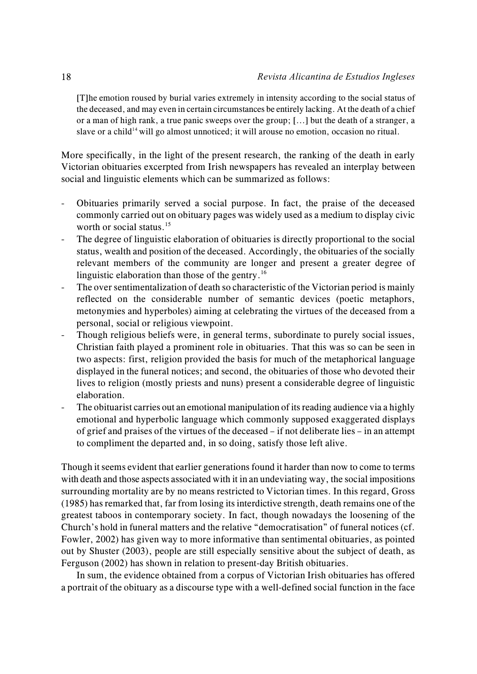[T]he emotion roused by burial varies extremely in intensity according to the social status of the deceased, and may even in certain circumstances be entirely lacking. At the death of a chief or a man of high rank, a true panic sweeps over the group; [...] but the death of a stranger, a slave or a child<sup> $14$ </sup> will go almost unnoticed; it will arouse no emotion, occasion no ritual.

More specifically, in the light of the present research, the ranking of the death in early Victorian obituaries excerpted from Irish newspapers has revealed an interplay between social and linguistic elements which can be summarized as follows:

- Obituaries primarily served a social purpose. In fact, the praise of the deceased commonly carried out on obituary pages was widely used as a medium to display civic worth or social status.<sup>15</sup>
- The degree of linguistic elaboration of obituaries is directly proportional to the social status, wealth and position of the deceased. Accordingly, the obituaries of the socially relevant members of the community are longer and present a greater degree of linguistic elaboration than those of the gentry.<sup>16</sup>
- The over sentimentalization of death so characteristic of the Victorian period is mainly reflected on the considerable number of semantic devices (poetic metaphors, metonymies and hyperboles) aiming at celebrating the virtues of the deceased from a personal, social or religious viewpoint.
- Though religious beliefs were, in general terms, subordinate to purely social issues, Christian faith played a prominent role in obituaries. That this was so can be seen in two aspects: first, religion provided the basis for much of the metaphorical language displayed in the funeral notices; and second, the obituaries of those who devoted their lives to religion (mostly priests and nuns) present a considerable degree of linguistic elaboration.
- The obituarist carries out an emotional manipulation of its reading audience via a highly emotional and hyperbolic language which commonly supposed exaggerated displays of grief and praises of the virtues of the deceased – if not deliberate lies – in an attempt to compliment the departed and, in so doing, satisfy those left alive.

Though it seems evident that earlier generations found it harder than now to come to terms with death and those aspects associated with it in an undeviating way, the social impositions surrounding mortality are by no means restricted to Victorian times. In this regard, Gross (1985) has remarked that, far from losing its interdictive strength, death remains one of the greatest taboos in contemporary society. In fact, though nowadays the loosening of the Church's hold in funeral matters and the relative "democratisation" of funeral notices (cf. Fowler, 2002) has given way to more informative than sentimental obituaries, as pointed out by Shuster (2003), people are still especially sensitive about the subject of death, as Ferguson (2002) has shown in relation to present-day British obituaries.

In sum, the evidence obtained from a corpus of Victorian Irish obituaries has offered a portrait of the obituary as a discourse type with a well-defined social function in the face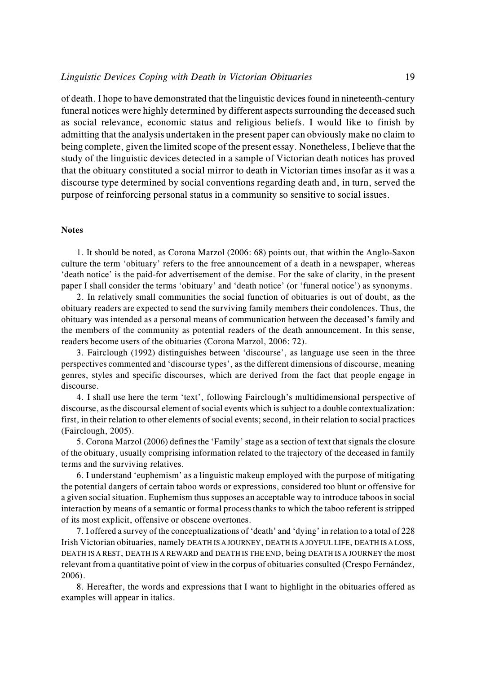of death. I hope to have demonstrated that the linguistic devices found in nineteenth-century funeral notices were highly determined by different aspects surrounding the deceased such as social relevance, economic status and religious beliefs. I would like to finish by admitting that the analysis undertaken in the present paper can obviously make no claim to being complete, given the limited scope of the present essay. Nonetheless, I believe that the study of the linguistic devices detected in a sample of Victorian death notices has proved that the obituary constituted a social mirror to death in Victorian times insofar as it was a discourse type determined by social conventions regarding death and, in turn, served the purpose of reinforcing personal status in a community so sensitive to social issues.

#### **Notes**

1. It should be noted, as Corona Marzol (2006: 68) points out, that within the Anglo-Saxon culture the term 'obituary' refers to the free announcement of a death in a newspaper, whereas 'death notice' is the paid-for advertisement of the demise. For the sake of clarity, in the present paper I shall consider the terms 'obituary' and 'death notice' (or 'funeral notice') as synonyms.

2. In relatively small communities the social function of obituaries is out of doubt, as the obituary readers are expected to send the surviving family members their condolences. Thus, the obituary was intended as a personal means of communication between the deceased's family and the members of the community as potential readers of the death announcement. In this sense, readers become users of the obituaries (Corona Marzol, 2006: 72).

3. Fairclough (1992) distinguishes between 'discourse', as language use seen in the three perspectives commented and 'discourse types', as the different dimensions of discourse, meaning genres, styles and specific discourses, which are derived from the fact that people engage in discourse.

4. I shall use here the term 'text', following Fairclough's multidimensional perspective of discourse, as the discoursal element of social events which is subject to a double contextualization: first, in their relation to other elements of social events; second, in their relation to social practices (Fairclough, 2005).

5. Corona Marzol (2006) defines the 'Family' stage as a section of text that signals the closure of the obituary, usually comprising information related to the trajectory of the deceased in family terms and the surviving relatives.

6. I understand 'euphemism' as a linguistic makeup employed with the purpose of mitigating the potential dangers of certain taboo words or expressions, considered too blunt or offensive for a given social situation. Euphemism thus supposes an acceptable way to introduce taboos in social interaction by means of a semantic or formal process thanks to which the taboo referent is stripped of its most explicit, offensive or obscene overtones.

7. I offered a survey of the conceptualizations of 'death' and 'dying' in relation to a total of 228 Irish Victorian obituaries, namely DEATH IS A JOURNEY, DEATH IS A JOYFUL LIFE, DEATH IS A LOSS, DEATH IS A REST, DEATH IS A REWARD and DEATH IS THE END, being DEATH IS A JOURNEY the most relevant from a quantitative point of view in the corpus of obituaries consulted (Crespo Fernández, 2006).

8. Hereafter, the words and expressions that I want to highlight in the obituaries offered as examples will appear in italics.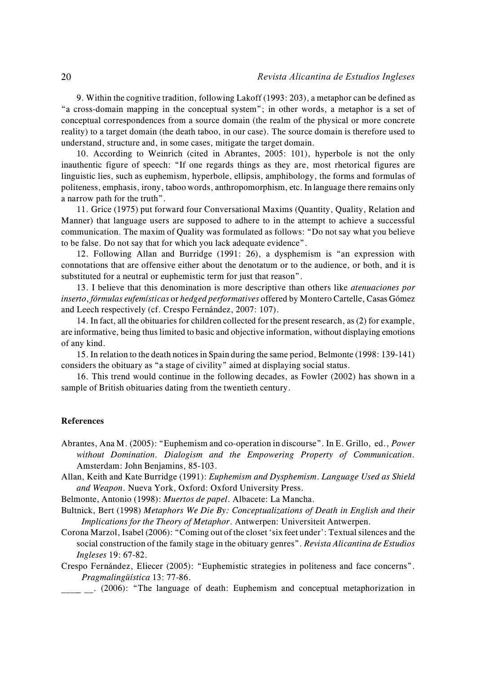9. Within the cognitive tradition, following Lakoff (1993: 203), a metaphor can be defined as "a cross-domain mapping in the conceptual system"; in other words, a metaphor is a set of conceptual correspondences from a source domain (the realm of the physical or more concrete reality) to a target domain (the death taboo, in our case). The source domain is therefore used to understand, structure and, in some cases, mitigate the target domain.

10. According to Weinrich (cited in Abrantes, 2005: 101), hyperbole is not the only inauthentic figure of speech: "If one regards things as they are, most rhetorical figures are linguistic lies, such as euphemism, hyperbole, ellipsis, amphibology, the forms and formulas of politeness, emphasis, irony, taboo words, anthropomorphism, etc. In language there remains only a narrow path for the truth".

11. Grice (1975) put forward four Conversational Maxims (Quantity, Quality, Relation and Manner) that language users are supposed to adhere to in the attempt to achieve a successful communication. The maxim of Quality was formulated as follows: "Do not say what you believe to be false. Do not say that for which you lack adequate evidence".

12. Following Allan and Burridge (1991: 26), a dysphemism is "an expression with connotations that are offensive either about the denotatum or to the audience, or both, and it is substituted for a neutral or euphemistic term for just that reason".

13. I believe that this denomination is more descriptive than others like *atenuaciones por inserto*, *fórmulas eufemísticas* or *hedged performatives* offered by Montero Cartelle, Casas Gómez and Leech respectively (cf. Crespo Fernández, 2007: 107).

14. In fact, all the obituaries for children collected for the present research, as (2) for example, are informative, being thus limited to basic and objective information, without displaying emotions of any kind.

15. In relation to the death notices in Spain during the same period, Belmonte (1998: 139-141) considers the obituary as "a stage of civility" aimed at displaying social status.

16. This trend would continue in the following decades, as Fowler (2002) has shown in a sample of British obituaries dating from the twentieth century.

#### **References**

- Abrantes, Ana M. (2005): "Euphemism and co-operation in discourse". In E. Grillo, ed., *Power without Domination. Dialogism and the Empowering Property of Communication*. Amsterdam: John Benjamins, 85-103.
- Allan, Keith and Kate Burridge (1991): *Euphemism and Dysphemism*. *Language Used as Shield and Weapon*. Nueva York, Oxford: Oxford University Press.

Belmonte, Antonio (1998): *Muertos de papel*. Albacete: La Mancha.

- Bultnick, Bert (1998) *Metaphors We Die By: Conceptualizations of Death in English and their Implications for the Theory of Metaphor*. Antwerpen: Universiteit Antwerpen.
- Corona Marzol, Isabel (2006): "Coming out of the closet 'six feet under': Textual silences and the social construction of the family stage in the obituary genres". *Revista Alicantina de Estudios Ingleses* 19: 67-82.

Crespo Fernández, Eliecer (2005): "Euphemistic strategies in politeness and face concerns". *Pragmalingüística* 13: 77-86.

\_\_\_\_\_ \_\_. (2006): "The language of death: Euphemism and conceptual metaphorization in